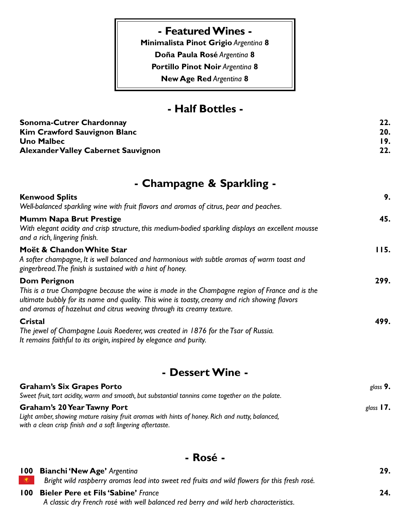#### **- Featured Wines -**

**Minimalista Pinot Grigio Argentina 8** 

**Doña Paula Rosé Argentina 8** 

**Portillo Pinot Noir Argentina 8** 

**New Age Red Argentina 8** 

### **- Half Bottles -**

| Sonoma-Cutrer Chardonnay            |     |
|-------------------------------------|-----|
| Kim Crawford Sauvignon Blanc        | 20. |
| Uno Malbec                          | 19. |
| Alexander Valley Cabernet Sauvignon | 22. |

# **- Champagne & Sparkling -**

| <b>Kenwood Splits</b>                                                                                                                                                                                                                                                                     | 9.   |
|-------------------------------------------------------------------------------------------------------------------------------------------------------------------------------------------------------------------------------------------------------------------------------------------|------|
| Well-balanced sparkling wine with fruit flavors and aromas of citrus, pear and peaches.                                                                                                                                                                                                   |      |
| Mumm Napa Brut Prestige<br>With elegant acidity and crisp structure, this medium-bodied sparkling displays an excellent mousse<br>and a rich, lingering finish.                                                                                                                           | 45.  |
| Moët & Chandon White Star<br>A softer champagne, It is well balanced and harmonious with subtle aromas of warm toast and<br>gingerbread. The finish is sustained with a hint of honey.                                                                                                    | II5. |
| Dom Perignon<br>This is a true Champagne because the wine is made in the Champagne region of France and is the<br>ultimate bubbly for its name and quality. This wine is toasty, creamy and rich showing flavors<br>and aromas of hazelnut and citrus weaving through its creamy texture. | 299. |
| Cristal<br>The jewel of Champagne Louis Roederer, was created in 1876 for the Tsar of Russia.<br>It remains faithful to its origin, inspired by elegance and purity.                                                                                                                      | 499. |

## **- Dessert Wine -**

| <b>Graham's Six Grapes Porto</b>                                                                 | glass $9.$  |
|--------------------------------------------------------------------------------------------------|-------------|
| Sweet fruit, tart acidity, warm and smooth, but substantial tannins come together on the palate. |             |
| <b>Graham's 20 Year Tawny Port</b>                                                               | glass $17.$ |
| Light amber, showing mature raisiny fruit aromas with hints of honey. Rich and nutty, balanced,  |             |
| with a clean crisp finish and a soft lingering aftertaste.                                       |             |

#### **- Rosé -**

| <b>100 Bianchi 'New Age' Argenting</b>                                                        | 29. |
|-----------------------------------------------------------------------------------------------|-----|
| Bright wild raspberry aromas lead into sweet red fruits and wild flowers for this fresh rosé. |     |
| 100 Bieler Pere et Fils 'Sabine' France                                                       | 24. |
| A classic dry French rosé with well balanced red berry and wild herb characteristics.         |     |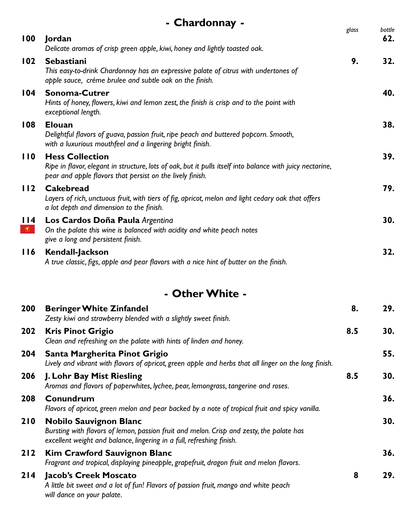|                  | - Chardonnay -                                                                                                                                                                                   |       |               |
|------------------|--------------------------------------------------------------------------------------------------------------------------------------------------------------------------------------------------|-------|---------------|
| 100              | Jordan<br>Delicate aromas of crisp green apple, kiwi, honey and lightly toasted oak.                                                                                                             | glass | bottle<br>62. |
| 102              | Sebastiani<br>This easy-to-drink Chardonnay has an expressive palate of citrus with undertones of<br>apple sauce, créme brulee and subtle oak on the finish.                                     | 9.    | 32.           |
| 104              | <b>Sonoma-Cutrer</b><br>Hints of honey, flowers, kiwi and lemon zest, the finish is crisp and to the point with<br>exceptional length.                                                           |       | 40.           |
| 108              | <b>Elouan</b><br>Delightful flavors of guava, passion fruit, ripe peach and buttered popcorn. Smooth,<br>with a luxurious mouthfeel and a lingering bright finish.                               |       | 38.           |
| 110              | <b>Hess Collection</b><br>Ripe in flavor, elegant in structure, lots of oak, but it pulls itself into balance with juicy nectarine,<br>pear and apple flavors that persist on the lively finish. |       | 39.           |
| 112              | <b>Cakebread</b><br>Layers of rich, unctuous fruit, with tiers of fig, apricot, melon and light cedary oak that offers<br>a lot depth and dimension to the finish.                               |       | 79.           |
| 114<br>$\bullet$ | Los Cardos Doña Paula Argentina<br>On the palate this wine is balanced with acidity and white peach notes<br>give a long and persistent finish.                                                  |       | 30.           |
| 116              | <b>Kendall-Jackson</b><br>A true classic, figs, apple and pear flavors with a nice hint of butter on the finish.                                                                                 |       | 32.           |
|                  | - Other White -                                                                                                                                                                                  |       |               |
| 200              | <b>Beringer White Zinfandel</b><br>Zesty kiwi and strawberry blended with a slightly sweet finish.                                                                                               | 8.    | 29.           |
| 202              | <b>Kris Pinot Grigio</b>                                                                                                                                                                         | 8.5   | 30.           |

# *Clean and refreshing on the palate with hints of linden and honey.* **204 Santa Margherita Pinot Grigio 55.**

|     | Lively and vibrant with flavors of apricot, green apple and herbs that all linger on the long finish.                                                                                              |     |     |
|-----|----------------------------------------------------------------------------------------------------------------------------------------------------------------------------------------------------|-----|-----|
| 206 | J. Lohr Bay Mist Riesling<br>Aromas and flavors of paperwhites, lychee, pear, lemongrass, tangerine and roses.                                                                                     | 8.5 | 30. |
| 208 | Conundrum<br>Flavors of apricot, green melon and pear backed by a note of tropical fruit and spicy vanilla.                                                                                        |     | 36. |
| 210 | <b>Nobilo Sauvignon Blanc</b><br>Bursting with flavors of lemon, passion fruit and melon. Crisp and zesty, the palate has<br>excellent weight and balance, lingering in a full, refreshing finish. |     | 30. |
| 212 | <b>Kim Crawford Sauvignon Blanc</b><br>Fragrant and tropical, displaying pineapple, grapefruit, dragon fruit and melon flavors.                                                                    |     | 36. |
| 214 | <b>Jacob's Creek Moscato</b><br>A little bit sweet and a lot of fun! Flavors of passion fruit, mango and white peach<br>will dance on your palate.                                                 | 8   | 29. |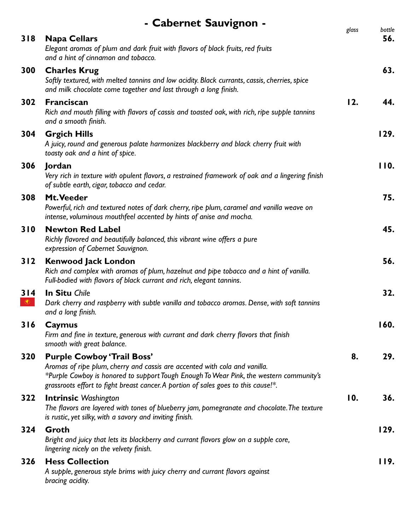|                       | - Cabernet Sauvignon -                                                                                                                                                                                                                                                                           |       |               |
|-----------------------|--------------------------------------------------------------------------------------------------------------------------------------------------------------------------------------------------------------------------------------------------------------------------------------------------|-------|---------------|
| 318                   | <b>Napa Cellars</b><br>Elegant aromas of plum and dark fruit with flavors of black fruits, red fruits<br>and a hint of cinnamon and tobacco.                                                                                                                                                     | glass | bottle<br>56. |
| 300                   | <b>Charles Krug</b><br>Softly textured, with melted tannins and low acidity. Black currants, cassis, cherries, spice<br>and milk chocolate come together and last through a long finish.                                                                                                         |       | 63.           |
| 302                   | <b>Franciscan</b><br>Rich and mouth filling with flavors of cassis and toasted oak, with rich, ripe supple tannins<br>and a smooth finish.                                                                                                                                                       | 12.   | 44.           |
| 304                   | <b>Grgich Hills</b><br>A juicy, round and generous palate harmonizes blackberry and black cherry fruit with<br>toasty oak and a hint of spice.                                                                                                                                                   |       | 129.          |
| 306                   | Jordan<br>Very rich in texture with opulent flavors, a restrained framework of oak and a lingering finish<br>of subtle earth, cigar, tobacco and cedar.                                                                                                                                          |       | 110.          |
| 308                   | Mt. Veeder<br>Powerful, rich and textured notes of dark cherry, ripe plum, caramel and vanilla weave on<br>intense, voluminous mouthfeel accented by hints of anise and mocha.                                                                                                                   |       | 75.           |
| 310                   | <b>Newton Red Label</b><br>Richly flavored and beautifully balanced, this vibrant wine offers a pure<br>expression of Cabernet Sauvignon.                                                                                                                                                        |       | 45.           |
| 312                   | <b>Kenwood Jack London</b><br>Rich and complex with aromas of plum, hazelnut and pipe tobacco and a hint of vanilla.<br>Full-bodied with flavors of black currant and rich, elegant tannins.                                                                                                     |       | 56.           |
| 314<br>$\circledcirc$ | <b>In Situ Chile</b><br>Dark cherry and raspberry with subtle vanilla and tobacco aromas. Dense, with soft tannins<br>and a long finish.                                                                                                                                                         |       | 32.           |
| 316                   | Caymus<br>Firm and fine in texture, generous with currant and dark cherry flavors that finish<br>smooth with great balance.                                                                                                                                                                      |       | 160.          |
| 320                   | <b>Purple Cowboy 'Trail Boss'</b><br>Aromas of ripe plum, cherry and cassis are accented with cola and vanilla.<br>*Purple Cowboy is honored to support Tough Enough To Wear Pink, the western community's<br>grassroots effort to fight breast cancer. A portion of sales goes to this cause!*. | 8.    | 29.           |
| 322                   | <b>Intrinsic Washington</b><br>The flavors are layered with tones of blueberry jam, pomegranate and chocolate. The texture<br>is rustic, yet silky, with a savory and inviting finish.                                                                                                           | 10.   | 36.           |
| 324                   | Groth<br>Bright and juicy that lets its blackberry and currant flavors glow on a supple core,<br>lingering nicely on the velvety finish.                                                                                                                                                         |       | 129.          |
| 326                   | <b>Hess Collection</b><br>A supple, generous style brims with juicy cherry and currant flavors against<br>bracing acidity.                                                                                                                                                                       |       | II9.          |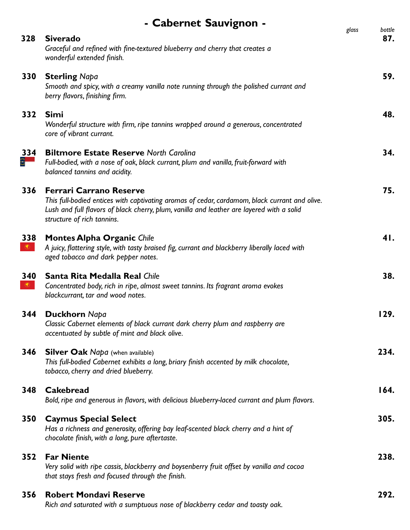|                       | - Cabernet Sauvignon -                                                                                                                                                                                                                                     |       |               |
|-----------------------|------------------------------------------------------------------------------------------------------------------------------------------------------------------------------------------------------------------------------------------------------------|-------|---------------|
| 328                   | <b>Siverado</b><br>Graceful and refined with fine-textured blueberry and cherry that creates a<br>wonderful extended finish.                                                                                                                               | glass | bottle<br>87. |
| 330                   | <b>Sterling Napa</b><br>Smooth and spicy, with a creamy vanilla note running through the polished currant and<br>berry flavors, finishing firm.                                                                                                            |       | 59.           |
| 332                   | <b>Simi</b><br>Wonderful structure with firm, ripe tannins wrapped around a generous, concentrated<br>core of vibrant currant.                                                                                                                             |       | 48.           |
| 334<br>$\varepsilon-$ | <b>Biltmore Estate Reserve North Carolina</b><br>Full-bodied, with a nose of oak, black currant, plum and vanilla, fruit-forward with<br>balanced tannins and acidity.                                                                                     |       | 34.           |
| 336                   | <b>Ferrari Carrano Reserve</b><br>This full-bodied entices with captivating aromas of cedar, cardamom, black currant and olive.<br>Lush and full flavors of black cherry, plum, vanilla and leather are layered with a solid<br>structure of rich tannins. |       | 75.           |
| 338<br>$\circledcirc$ | <b>Montes Alpha Organic Chile</b><br>A juicy, flattering style, with tasty braised fig, currant and blackberry liberally laced with<br>aged tobacco and dark pepper notes.                                                                                 |       | 41.           |
| 340<br>$\circledcirc$ | <b>Santa Rita Medalla Real Chile</b><br>Concentrated body, rich in ripe, almost sweet tannins. Its fragrant aroma evokes<br>blackcurrant, tar and wood notes.                                                                                              |       | 38.           |
| 344                   | <b>Duckhorn Napa</b><br>Classic Cabernet elements of black currant dark cherry plum and raspberry are<br>accentuated by subtle of mint and black olive.                                                                                                    |       | 129.          |
| 346                   | <b>Silver Oak Napa</b> (when available)<br>This full-bodied Cabernet exhibits a long, briary finish accented by milk chocolate,<br>tobacco, cherry and dried blueberry.                                                                                    |       | 234.          |
| 348                   | <b>Cakebread</b><br>Bold, ripe and generous in flavors, with delicious blueberry-laced currant and plum flavors.                                                                                                                                           |       | 164.          |
| 350                   | <b>Caymus Special Select</b><br>Has a richness and generosity, offering bay leaf-scented black cherry and a hint of<br>chocolate finish, with a long, pure aftertaste.                                                                                     |       | 305.          |
| 352                   | <b>Far Niente</b><br>Very solid with ripe cassis, blackberry and boysenberry fruit offset by vanilla and cocoa<br>that stays fresh and focused through the finish.                                                                                         |       | 238.          |
| 356                   | <b>Robert Mondavi Reserve</b><br>Rich and saturated with a sumptuous nose of blackberry cedar and toasty oak.                                                                                                                                              |       | 292.          |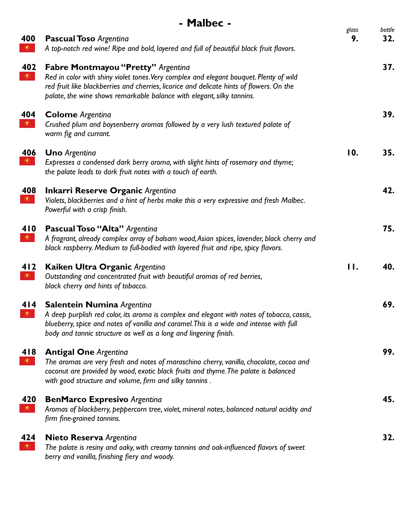|                       | - Malbec -                                                                                                                                                                                                                                                                                         |             |               |
|-----------------------|----------------------------------------------------------------------------------------------------------------------------------------------------------------------------------------------------------------------------------------------------------------------------------------------------|-------------|---------------|
| 400<br>$\circledcirc$ | <b>Pascual Toso Argenting</b><br>A top-notch red wine! Ripe and bold, layered and full of beautiful black fruit flavors.                                                                                                                                                                           | glass<br>9. | bottle<br>32. |
| 402<br>$\circledcirc$ | Fabre Montmayou "Pretty" Argentina<br>Red in color with shiny violet tones. Very complex and elegant bouquet. Plenty of wild<br>red fruit like blackberries and cherries, licorice and delicate hints of flowers. On the<br>palate, the wine shows remarkable balance with elegant, silky tannins. |             | 37.           |
| 404<br>$\circledcirc$ | <b>Colome</b> Argentina<br>Crushed plum and boysenberry aromas followed by a very lush textured palate of<br>warm fig and currant.                                                                                                                                                                 |             | 39.           |
| 406                   | <b>Uno</b> Argentina<br>Expresses a condensed dark berry aroma, with slight hints of rosemary and thyme;<br>the palate leads to dark fruit notes with a touch of earth.                                                                                                                            | 10.         | 35.           |
| 408<br>$\circledcirc$ | <b>Inkarri Reserve Organic Argentina</b><br>Violets, blackberries and a hint of herbs make this a very expressive and fresh Malbec.<br>Powerful with a crisp finish.                                                                                                                               |             | 42.           |
| 410<br>$\circledcirc$ | <b>Pascual Toso "Alta"</b> Argentina<br>A fragrant, already complex array of balsam wood, Asian spices, lavender, black cherry and<br>black raspberry. Medium to full-bodied with layered fruit and ripe, spicy flavors.                                                                           |             | 75.           |
| 412<br>$\circledcirc$ | Kaiken Ultra Organic Argentina<br>Outstanding and concentrated fruit with beautiful aromas of red berries,<br>black cherry and hints of tobacco.                                                                                                                                                   | 11.         | 40.           |
| 414<br>$\circledcirc$ | <b>Salentein Numina Argentina</b><br>A deep purplish red color, its aroma is complex and elegant with notes of tobacco, cassis,<br>blueberry, spice and notes of vanilla and caramel. This is a wide and intense with full<br>body and tannic structure as well as a long and lingering finish.    |             | 69.           |
| 418<br>$\circledast$  | <b>Antigal One Argenting</b><br>The aromas are very fresh and notes of maraschino cherry, vanilla, chocolate, cocoa and<br>coconut are provided by wood, exotic black fruits and thyme. The palate is balanced<br>with good structure and volume, firm and silky tannins.                          |             | 99.           |
| 420<br>$\circledcirc$ | <b>BenMarco Expresivo Argentina</b><br>Aromas of blackberry, peppercorn tree, violet, mineral notes, balanced natural acidity and<br>firm fine-grained tannins.                                                                                                                                    |             | 45.           |
| 424<br>$\circledcirc$ | <b>Nieto Reserva Argentina</b><br>The palate is resiny and oaky, with creamy tannins and oak-influenced flavors of sweet<br>berry and vanilla, finishing fiery and woody.                                                                                                                          |             | 32.           |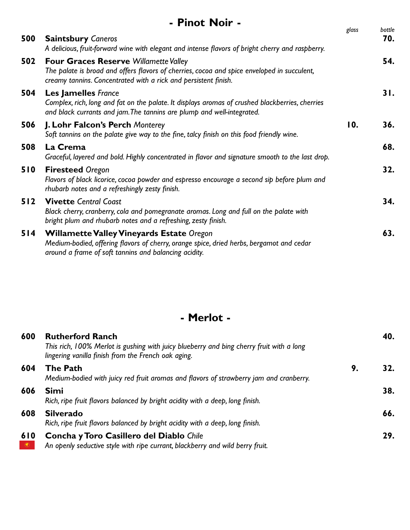|     | - Pinot Noir -                                                                                                                                                                                                 |       | bottle |
|-----|----------------------------------------------------------------------------------------------------------------------------------------------------------------------------------------------------------------|-------|--------|
| 500 | <b>Saintsbury Caneros</b><br>A delicious, fruit-forward wine with elegant and intense flavors of bright cherry and raspberry.                                                                                  | glass | 70.    |
| 502 | <b>Four Graces Reserve Willamette Valley</b><br>The palate is broad and offers flavors of cherries, cocoa and spice enveloped in succulent,<br>creamy tannins. Concentrated with a rick and persistent finish. |       | 54.    |
| 504 | <b>Les Jamelles</b> France<br>Complex, rich, long and fat on the palate. It displays aromas of crushed blackberries, cherries<br>and black currants and jam. The tannins are plump and well-integrated.        |       | 31.    |
| 506 | <b>J. Lohr Falcon's Perch Monterey</b><br>Soft tannins on the palate give way to the fine, talcy finish on this food friendly wine.                                                                            | 10.   | 36.    |
| 508 | La Crema<br>Graceful, layered and bold. Highly concentrated in flavor and signature smooth to the last drop.                                                                                                   |       | 68.    |
| 510 | <b>Firesteed Oregon</b><br>Flavors of black licorice, cocoa powder and espresso encourage a second sip before plum and<br>rhubarb notes and a refreshingly zesty finish.                                       |       | 32.    |
| 512 | <b>Vivette Central Coast</b><br>Black cherry, cranberry, cola and pomegranate aromas. Long and full on the palate with<br>bright plum and rhubarb notes and a refreshing, zesty finish.                        |       | 34.    |
| 514 | <b>Willamette Valley Vineyards Estate Oregon</b><br>Medium-bodied, offering flavors of cherry, orange spice, dried herbs, bergamot and cedar<br>around a frame of soft tannins and balancing acidity.          |       | 63.    |

# **- Merlot -**

| 600              | <b>Rutherford Ranch</b><br>This rich, 100% Merlot is gushing with juicy blueberry and bing cherry fruit with a long<br>lingering vanilla finish from the French oak aging. |    | 40. |
|------------------|----------------------------------------------------------------------------------------------------------------------------------------------------------------------------|----|-----|
| 604              | <b>The Path</b><br>Medium-bodied with juicy red fruit aromas and flavors of strawberry jam and cranberry.                                                                  | 9. |     |
| 606              | <b>Simi</b><br>Rich, ripe fruit flavors balanced by bright acidity with a deep, long finish.                                                                               |    | 38. |
| 608              | <b>Silverado</b><br>Rich, ripe fruit flavors balanced by bright acidity with a deep, long finish.                                                                          |    | 66. |
| 610<br>$\bullet$ | <b>Concha y Toro Casillero del Diablo Chile</b><br>An openly seductive style with ripe currant, blackberry and wild berry fruit.                                           |    | 29. |